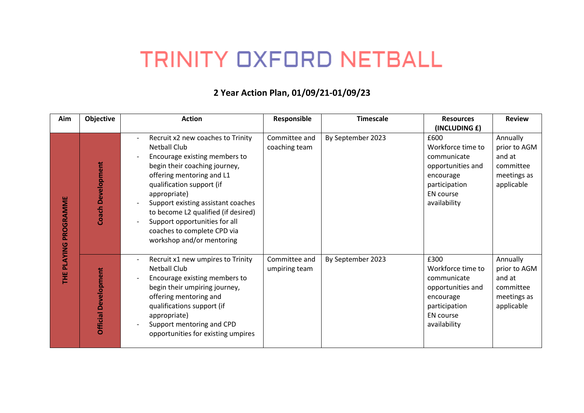## **TRINITY OXFORD NETBALL**

## **2 Year Action Plan, 01/09/21 -01/09/23**

| Aim                       | Objective                   | <b>Action</b>                                                                                                                                                                                                                                                                                                                                                                  | Responsible                    | <b>Timescale</b>  | <b>Resources</b>                                                                                                                | <b>Review</b>                                                                |
|---------------------------|-----------------------------|--------------------------------------------------------------------------------------------------------------------------------------------------------------------------------------------------------------------------------------------------------------------------------------------------------------------------------------------------------------------------------|--------------------------------|-------------------|---------------------------------------------------------------------------------------------------------------------------------|------------------------------------------------------------------------------|
|                           |                             |                                                                                                                                                                                                                                                                                                                                                                                |                                |                   | (INCLUDING £)                                                                                                                   |                                                                              |
| PROGRAMME<br>PLAYING<br>Ï | Development<br>Coach        | Recruit x2 new coaches to Trinity<br><b>Netball Club</b><br>Encourage existing members to<br>begin their coaching journey,<br>offering mentoring and L1<br>qualification support (if<br>appropriate)<br>Support existing assistant coaches<br>to become L2 qualified (if desired)<br>Support opportunities for all<br>coaches to complete CPD via<br>workshop and/or mentoring | Committee and<br>coaching team | By September 2023 | £600<br>Workforce time to<br>communicate<br>opportunities and<br>encourage<br>participation<br><b>EN</b> course<br>availability | Annually<br>prior to AGM<br>and at<br>committee<br>meetings as<br>applicable |
|                           | <b>Official Development</b> | Recruit x1 new umpires to Trinity<br><b>Netball Club</b><br>Encourage existing members to<br>begin their umpiring journey,<br>offering mentoring and<br>qualifications support (if<br>appropriate)<br>Support mentoring and CPD<br>opportunities for existing umpires                                                                                                          | Committee and<br>umpiring team | By September 2023 | £300<br>Workforce time to<br>communicate<br>opportunities and<br>encourage<br>participation<br><b>EN</b> course<br>availability | Annually<br>prior to AGM<br>and at<br>committee<br>meetings as<br>applicable |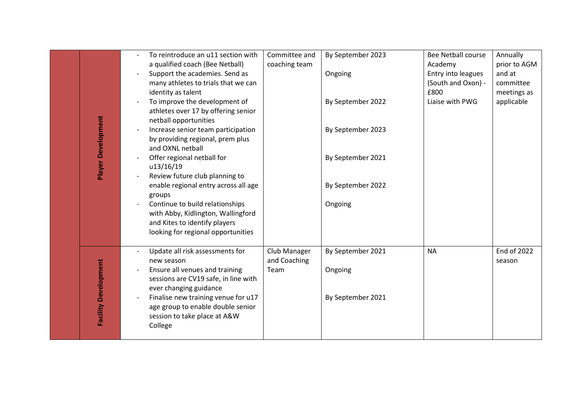| Player Development          | To reintroduce an u11 section with<br>a qualified coach (Bee Netball)<br>Support the academies. Send as<br>many athletes to trials that we can<br>identity as talent<br>To improve the development of<br>athletes over 17 by offering senior<br>netball opportunities<br>Increase senior team participation<br>by providing regional, prem plus<br>and OXNL netball<br>Offer regional netball for | Committee and<br>coaching team       | By September 2023<br>Ongoing<br>By September 2022<br>By September 2023<br>By September 2021 | <b>Bee Netball course</b><br>Academy<br>Entry into leagues<br>(South and Oxon) -<br>£800<br>Liaise with PWG | Annually<br>prior to AGM<br>and at<br>committee<br>meetings as<br>applicable |
|-----------------------------|---------------------------------------------------------------------------------------------------------------------------------------------------------------------------------------------------------------------------------------------------------------------------------------------------------------------------------------------------------------------------------------------------|--------------------------------------|---------------------------------------------------------------------------------------------|-------------------------------------------------------------------------------------------------------------|------------------------------------------------------------------------------|
|                             | u13/16/19<br>Review future club planning to<br>enable regional entry across all age<br>groups<br>Continue to build relationships<br>with Abby, Kidlington, Wallingford<br>and Kites to identify players<br>looking for regional opportunities                                                                                                                                                     |                                      | By September 2022<br>Ongoing                                                                |                                                                                                             |                                                                              |
| <b>Facility Development</b> | Update all risk assessments for<br>new season<br>Ensure all venues and training<br>sessions are CV19 safe, in line with<br>ever changing guidance<br>Finalise new training venue for u17<br>age group to enable double senior<br>session to take place at A&W<br>College                                                                                                                          | Club Manager<br>and Coaching<br>Team | By September 2021<br>Ongoing<br>By September 2021                                           | <b>NA</b>                                                                                                   | <b>End of 2022</b><br>season                                                 |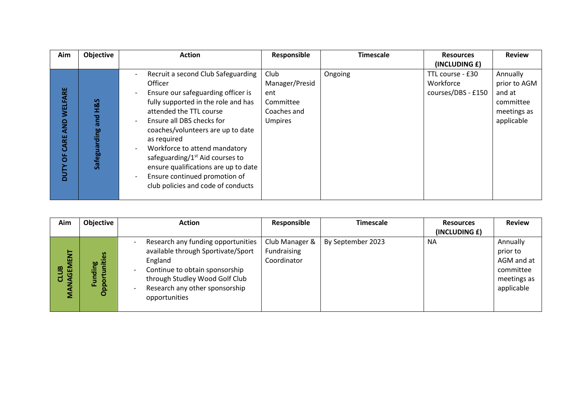| Aim                                           | Objective                                  | <b>Action</b>                                                                                                                                                                                                                                                                                                                                                                                                                       | Responsible                                                                 | <b>Timescale</b> | <b>Resources</b>                                    | <b>Review</b>                                                                |
|-----------------------------------------------|--------------------------------------------|-------------------------------------------------------------------------------------------------------------------------------------------------------------------------------------------------------------------------------------------------------------------------------------------------------------------------------------------------------------------------------------------------------------------------------------|-----------------------------------------------------------------------------|------------------|-----------------------------------------------------|------------------------------------------------------------------------------|
|                                               |                                            |                                                                                                                                                                                                                                                                                                                                                                                                                                     |                                                                             |                  | (INCLUDING £)                                       |                                                                              |
| ш<br>œ<br>WELFA<br>g<br>∢<br>분<br>О<br>5<br>۵ | <b>H&amp;S</b><br>and<br>rding<br>Safeguar | Recruit a second Club Safeguarding<br><b>Officer</b><br>Ensure our safeguarding officer is<br>fully supported in the role and has<br>attended the TTL course<br>Ensure all DBS checks for<br>coaches/volunteers are up to date<br>as required<br>Workforce to attend mandatory<br>safeguarding/ $1st$ Aid courses to<br>ensure qualifications are up to date<br>Ensure continued promotion of<br>club policies and code of conducts | Club<br>Manager/Presid<br>ent<br>Committee<br>Coaches and<br><b>Umpires</b> | Ongoing          | TTL course - £30<br>Workforce<br>courses/DBS - £150 | Annually<br>prior to AGM<br>and at<br>committee<br>meetings as<br>applicable |

| (INCLUDING £)<br>Club Manager &<br>Annually<br>Research any funding opportunities<br>By September 2023<br><b>NA</b><br>Fundraising<br>available through Sportivate/Sport<br>prior to<br>NAGEMENT<br>စိ<br>Coordinator<br>England<br>AGM and at<br>uniti<br>역<br>ø<br>Continue to obtain sponsorship<br>committee<br>5<br>through Studley Wood Golf Club<br>meetings as<br>ō<br>힖<br>훈<br>ō | Aim | <b>Objective</b> | <b>Action</b>                  | Responsible | Timescale | <b>Resources</b> | <b>Review</b> |
|--------------------------------------------------------------------------------------------------------------------------------------------------------------------------------------------------------------------------------------------------------------------------------------------------------------------------------------------------------------------------------------------|-----|------------------|--------------------------------|-------------|-----------|------------------|---------------|
|                                                                                                                                                                                                                                                                                                                                                                                            |     |                  |                                |             |           |                  |               |
| opportunities                                                                                                                                                                                                                                                                                                                                                                              | ΜĀ  | ō                | Research any other sponsorship |             |           |                  | applicable    |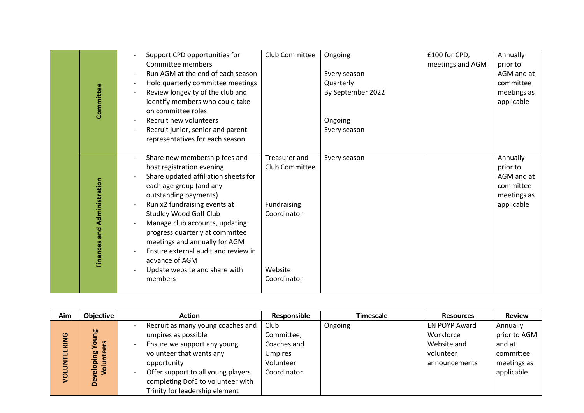| Committee                          | Support CPD opportunities for<br>Committee members<br>Run AGM at the end of each season<br>Hold quarterly committee meetings<br>$\overline{\phantom{a}}$<br>Review longevity of the club and<br>identify members who could take<br>on committee roles<br>Recruit new volunteers<br>Recruit junior, senior and parent<br>$\overline{\phantom{a}}$<br>representatives for each season                                                                            | Club Committee                                                                          | Ongoing<br>Every season<br>Quarterly<br>By September 2022<br>Ongoing<br>Every season | £100 for CPD,<br>meetings and AGM | Annually<br>prior to<br>AGM and at<br>committee<br>meetings as<br>applicable |
|------------------------------------|----------------------------------------------------------------------------------------------------------------------------------------------------------------------------------------------------------------------------------------------------------------------------------------------------------------------------------------------------------------------------------------------------------------------------------------------------------------|-----------------------------------------------------------------------------------------|--------------------------------------------------------------------------------------|-----------------------------------|------------------------------------------------------------------------------|
| <b>Finances and Administration</b> | Share new membership fees and<br>$\overline{\phantom{a}}$<br>host registration evening<br>Share updated affiliation sheets for<br>each age group (and any<br>outstanding payments)<br>Run x2 fundraising events at<br><b>Studley Wood Golf Club</b><br>Manage club accounts, updating<br>progress quarterly at committee<br>meetings and annually for AGM<br>Ensure external audit and review in<br>advance of AGM<br>Update website and share with<br>members | Treasurer and<br>Club Committee<br>Fundraising<br>Coordinator<br>Website<br>Coordinator | Every season                                                                         |                                   | Annually<br>prior to<br>AGM and at<br>committee<br>meetings as<br>applicable |

| Aim                   | <b>Objective</b>                   | <b>Action</b>                                                                                                                      | Responsible                                                      | Timescale | <b>Resources</b>                                                               | <b>Review</b>                                                  |
|-----------------------|------------------------------------|------------------------------------------------------------------------------------------------------------------------------------|------------------------------------------------------------------|-----------|--------------------------------------------------------------------------------|----------------------------------------------------------------|
| <b>RING</b><br>ш<br>靣 | ρg<br>ၑ<br>o<br>ō<br>త్త<br>ω<br>ō | Recruit as many young coaches and<br>umpires as possible<br>Ensure we support any young<br>volunteer that wants any<br>opportunity | Club<br>Committee,<br>Coaches and<br><b>Umpires</b><br>Volunteer | Ongoing   | <b>EN POYP Award</b><br>Workforce<br>Website and<br>volunteer<br>announcements | Annually<br>prior to AGM<br>and at<br>committee<br>meetings as |
| ក                     | $\bar{\bullet}$<br>്മ              | Offer support to all young players<br>completing DofE to volunteer with<br>Trinity for leadership element                          | Coordinator                                                      |           |                                                                                | applicable                                                     |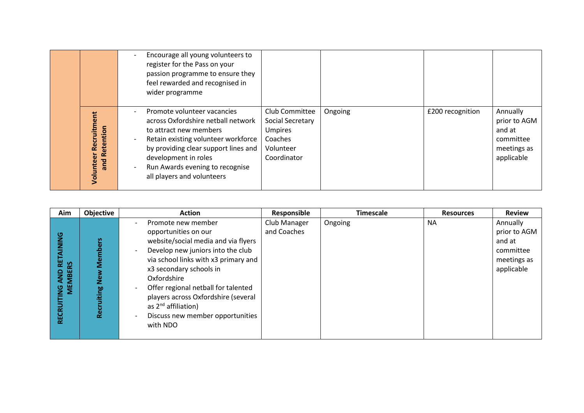|                                              | Encourage all young volunteers to<br>register for the Pass on your<br>passion programme to ensure they<br>feel rewarded and recognised in<br>wider programme                                                                                                                                    |                                                                                             |         |                  |                                                                              |
|----------------------------------------------|-------------------------------------------------------------------------------------------------------------------------------------------------------------------------------------------------------------------------------------------------------------------------------------------------|---------------------------------------------------------------------------------------------|---------|------------------|------------------------------------------------------------------------------|
| Recruitment<br>Retention<br>Volunteer<br>and | Promote volunteer vacancies<br>across Oxfordshire netball network<br>to attract new members<br>Retain existing volunteer workforce<br>$\overline{\phantom{a}}$<br>by providing clear support lines and<br>development in roles<br>Run Awards evening to recognise<br>all players and volunteers | Club Committee<br>Social Secretary<br><b>Umpires</b><br>Coaches<br>Volunteer<br>Coordinator | Ongoing | £200 recognition | Annually<br>prior to AGM<br>and at<br>committee<br>meetings as<br>applicable |

| Aim                                                                                    | Objective                         | <b>Action</b>                                                                                                                                                                                                                                                                                                                                                      | Responsible                 | <b>Timescale</b> | <b>Resources</b> | <b>Review</b>                                                                |
|----------------------------------------------------------------------------------------|-----------------------------------|--------------------------------------------------------------------------------------------------------------------------------------------------------------------------------------------------------------------------------------------------------------------------------------------------------------------------------------------------------------------|-----------------------------|------------------|------------------|------------------------------------------------------------------------------|
| <b>DINIC</b><br>ш<br><b>SS</b><br><b>MEMBE</b><br>QNA<br>$\frac{0}{2}$<br><b>RECRI</b> | <b>ers</b><br>قع<br>60<br>÷<br>قع | Promote new member<br>opportunities on our<br>website/social media and via flyers<br>Develop new juniors into the club<br>via school links with x3 primary and<br>x3 secondary schools in<br>Oxfordshire<br>Offer regional netball for talented<br>players across Oxfordshire (several<br>as $2^{nd}$ affiliation)<br>Discuss new member opportunities<br>with NDO | Club Manager<br>and Coaches | Ongoing          | <b>NA</b>        | Annually<br>prior to AGM<br>and at<br>committee<br>meetings as<br>applicable |